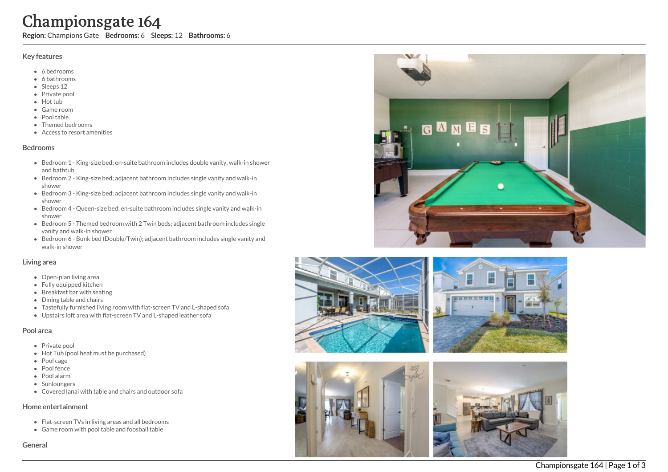# **Char**<br>
Region: Char<br>
Region: Char<br>
Char Accessors Accessors Accessors Accessors Accessors<br>
Bedrooms Accessors Accessors Accessors Accessors Accessors Accessors Accessors Accessors Accessors Accessors Accessors Accessors A mpionsgate 164

Region: Champions Gate Bedrooms: 6 Sleeps: 12 Bathrooms: 6

### Key features

- 6 b e d r o o m s
- 6 bathrooms
- Sleeps 12
- Private pool
- Hot tub
- Game room
- Pool table
- Themed bedrooms
- Access to resort amenities

### **Bedrooms**

- Bedroom 1 King-size bed; en-suite bathroom includes double vanity, walk-in shower and bathtub
- Bedroom 2 King-size bed; adjacent bathroom includes single vanity and walk-in s h o w e r
- Bedroom 3 King-size bed; adjacent bathroom includes single vanity and walk-in s h o w e r
- Bedroom 4 Queen-size bed; en-suite bathroom includes single vanity and walk-in s h o w e r
- Bedroom 5 Themed bedroom with 2 Twin beds; adjacent bathroom includes single vanity and walk-in shower
- Bedroom 6 Bunk bed (Double/Twin); adjacent bathroom includes single vanity and walk-in shower

### Living area

- Open-plan living area
- Fully equipped kitchen
- Breakfast bar with seating
- Dining table and chairs
- Tastefully furnished living room with flat-screen TV and L-shaped sofa
- Upstairs loft area with flat-screen TV and L-shaped leather sofa

### Pool area

- Private pool
- Hot Tub (pool heat must be purchased)
- Pool cage
- Pool fence
- P o ol ala r m
- **Sunloungers**
- Covered lanai with table and chairs and outdoor sofa

### Home entertainment

- Flat-screen TVs in living areas and all bedrooms
- Game room with pool table and foosball table

Genera









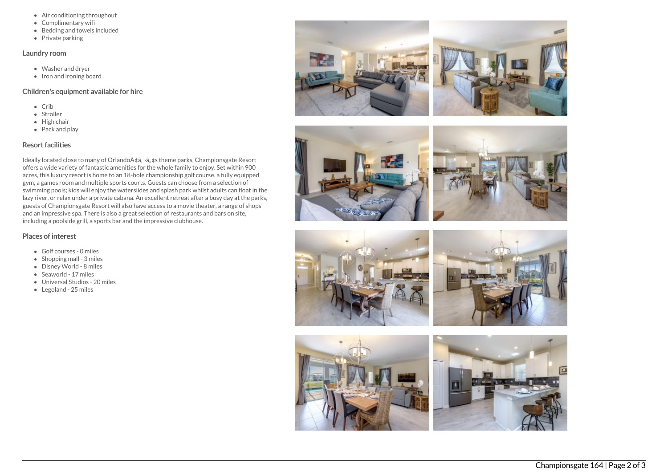- Air conditioning throughout
- Complimentary wifi
- Bedding and towels included
- Private parking

### Laundry room

- Washer and dryer
- Iron and ironing board

### Children's equipment available for hire

- $\bullet$  Crib
- Stroller
- $\bullet$  High chair
- Pack and play

# Resort facilities

Ideally located close to many of Orlando A¢â,¬â, ¢s theme parks, Championsgate Resort offers a wide variety of fantastic amenities for the whole family to enjoy. Set within 900 acres, this luxury resort is home to an 18-hole championship golf course, a fully equipped gym, a games room and multiple sports courts. Guests can choose from a selection of swimming pools; kids will enjoy the waterslides and splash park whilst adults can float in the lazy river, or relax under a private cabana. An excellent retreat after a busy day at the parks, guests of Championsgate Resort will also have access to a movie theater, a range of shops and an impressive spa. There is also a great selection of restaurants and bars on site, including a poolside grill, a sports bar and the impressive clubhouse.

## Places of interest

- Golf courses 0 miles
- $\bullet$  Shopping mall 3 miles
- Disney World 8 miles
- Seaworld 17 miles
- Universal Studios 20 miles
- Legoland 25 miles